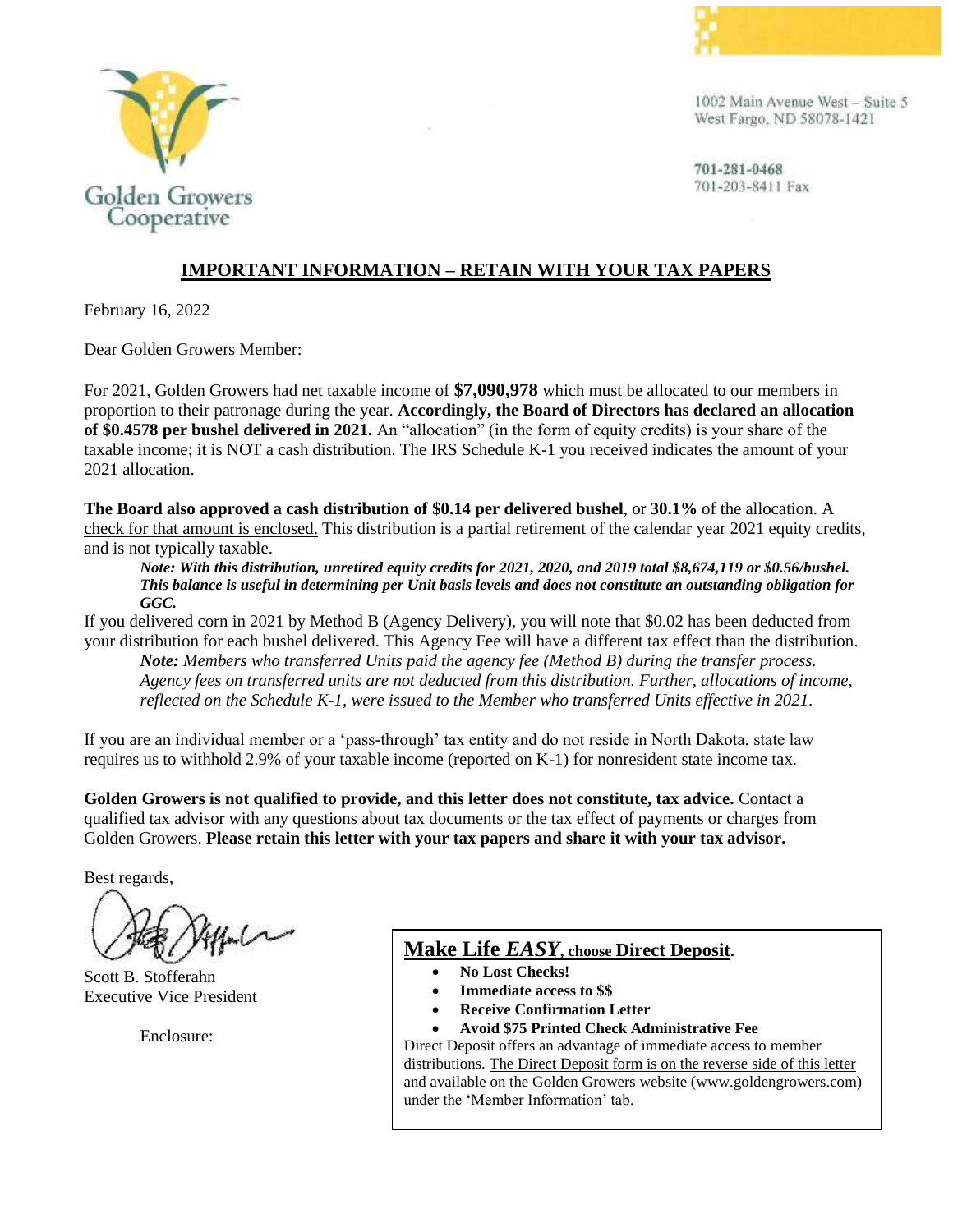

1002 Main Avenue West - Suite 5 West Fargo, ND 58078-1421



# Golden Growers Cooperative

### **IMPORTANT INFORMATION – RETAIN WITH YOUR TAX PAPERS**

February 16, 2022

Dear Golden Growers Member:

For 2021, Golden Growers had net taxable income of **\$7,090,978** which must be allocated to our members in proportion to their patronage during the year. **Accordingly, the Board of Directors has declared an allocation of \$0.4578 per bushel delivered in 2021.** An "allocation" (in the form of equity credits) is your share of the taxable income; it is NOT a cash distribution. The IRS Schedule K-1 you received indicates the amount of your 2021 allocation.

**The Board also approved a cash distribution of \$0.14 per delivered bushel**, or **30.1%** of the allocation. A check for that amount is enclosed. This distribution is a partial retirement of the calendar year 2021 equity credits, and is not typically taxable.

*Note: With this distribution, unretired equity credits for 2021, 2020, and 2019 total \$8,674,119 or \$0.56/bushel. This balance is useful in determining per Unit basis levels and does not constitute an outstanding obligation for GGC.*

If you delivered corn in 2021 by Method B (Agency Delivery), you will note that \$0.02 has been deducted from your distribution for each bushel delivered. This Agency Fee will have a different tax effect than the distribution.

*Note: Members who transferred Units paid the agency fee (Method B) during the transfer process. Agency fees on transferred units are not deducted from this distribution. Further, allocations of income, reflected on the Schedule K-1, were issued to the Member who transferred Units effective in 2021.*

If you are an individual member or a 'pass-through' tax entity and do not reside in North Dakota, state law requires us to withhold 2.9% of your taxable income (reported on K-1) for nonresident state income tax.

**Golden Growers is not qualified to provide, and this letter does not constitute, tax advice.** Contact a qualified tax advisor with any questions about tax documents or the tax effect of payments or charges from Golden Growers. **Please retain this letter with your tax papers and share it with your tax advisor.**

Best regards,

Scott B. Stofferahn Executive Vice President

Enclosure:

## **Make Life** *EASY***, choose Direct Deposit.**

- **No Lost Checks!**
- **Immediate access to \$\$**
- **Receive Confirmation Letter**
- **Avoid \$75 Printed Check Administrative Fee**

Direct Deposit offers an advantage of immediate access to member distributions. The Direct Deposit form is on the reverse side of this letter and available on the Golden Growers website (www.goldengrowers.com) under the 'Member Information' tab.